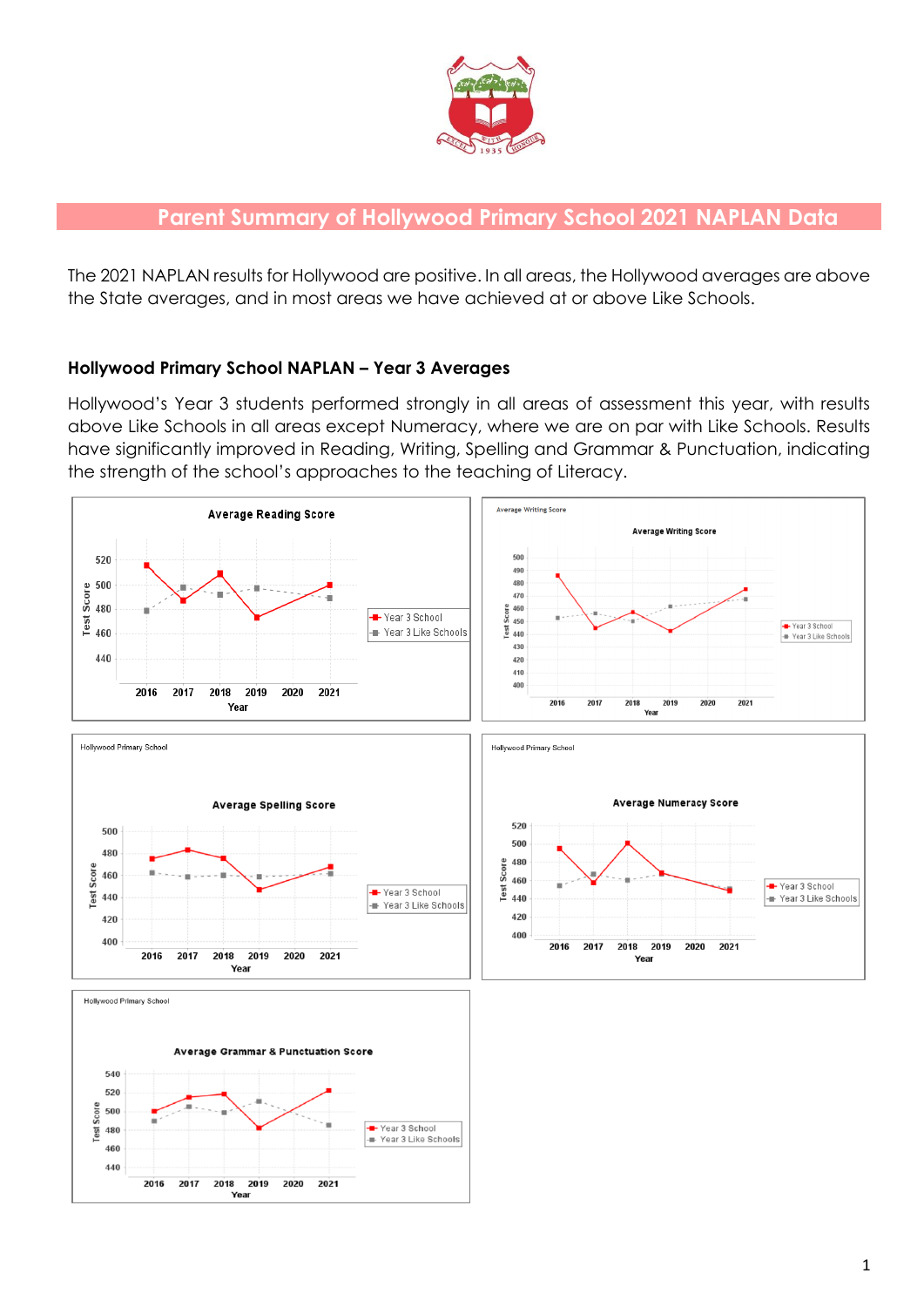

# **Parent Summary of Hollywood Primary School 2021 NAPLAN Data**

The 2021 NAPLAN results for Hollywood are positive. In all areas, the Hollywood averages are above the State averages, and in most areas we have achieved at or above Like Schools.

### **Hollywood Primary School NAPLAN – Year 3 Averages**

Hollywood's Year 3 students performed strongly in all areas of assessment this year, with results above Like Schools in all areas except Numeracy, where we are on par with Like Schools. Results have significantly improved in Reading, Writing, Spelling and Grammar & Punctuation, indicating the strength of the school's approaches to the teaching of Literacy.

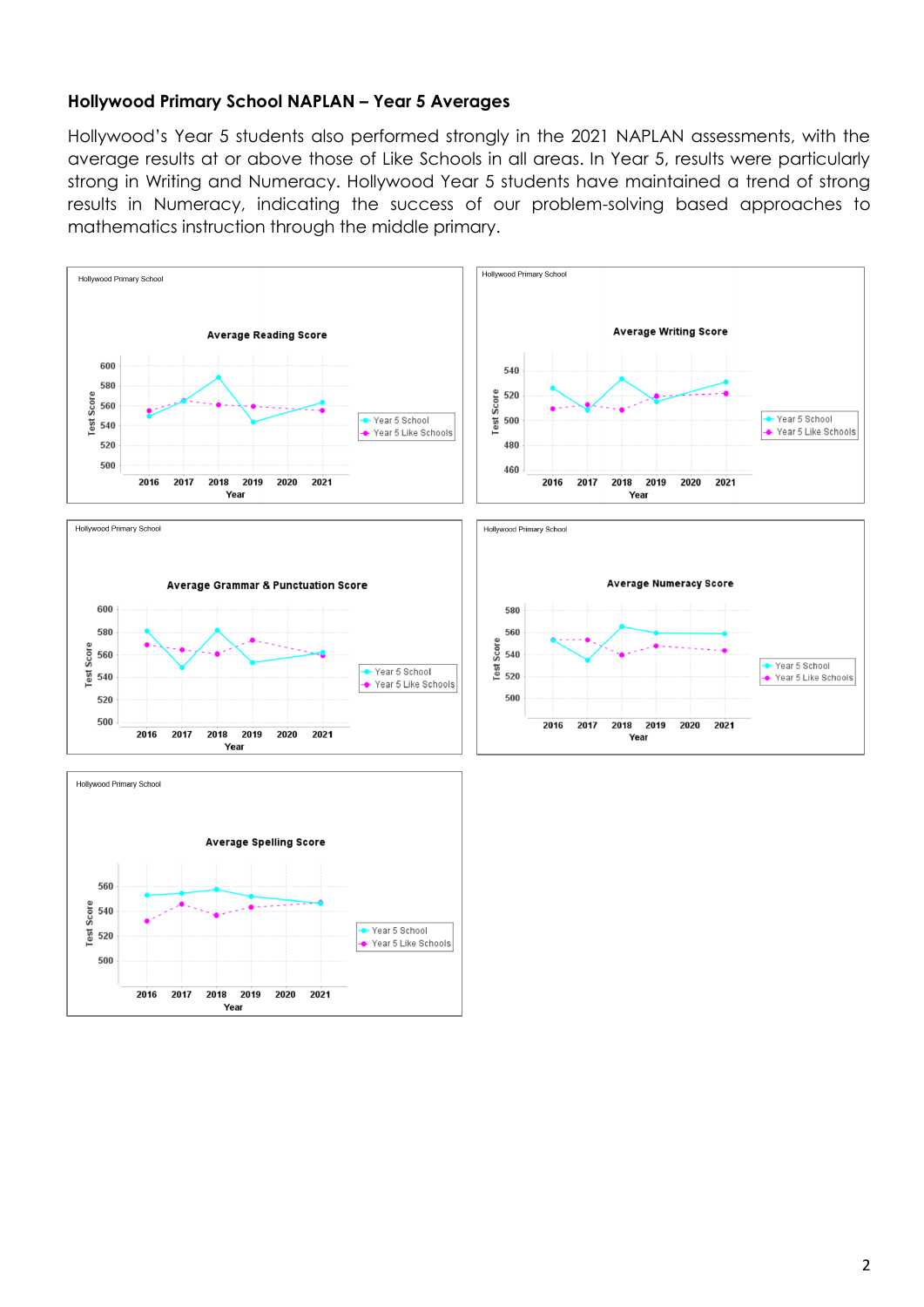#### **Hollywood Primary School NAPLAN – Year 5 Averages**

Hollywood's Year 5 students also performed strongly in the 2021 NAPLAN assessments, with the average results at or above those of Like Schools in all areas. In Year 5, results were particularly strong in Writing and Numeracy. Hollywood Year 5 students have maintained a trend of strong results in Numeracy, indicating the success of our problem-solving based approaches to mathematics instruction through the middle primary.



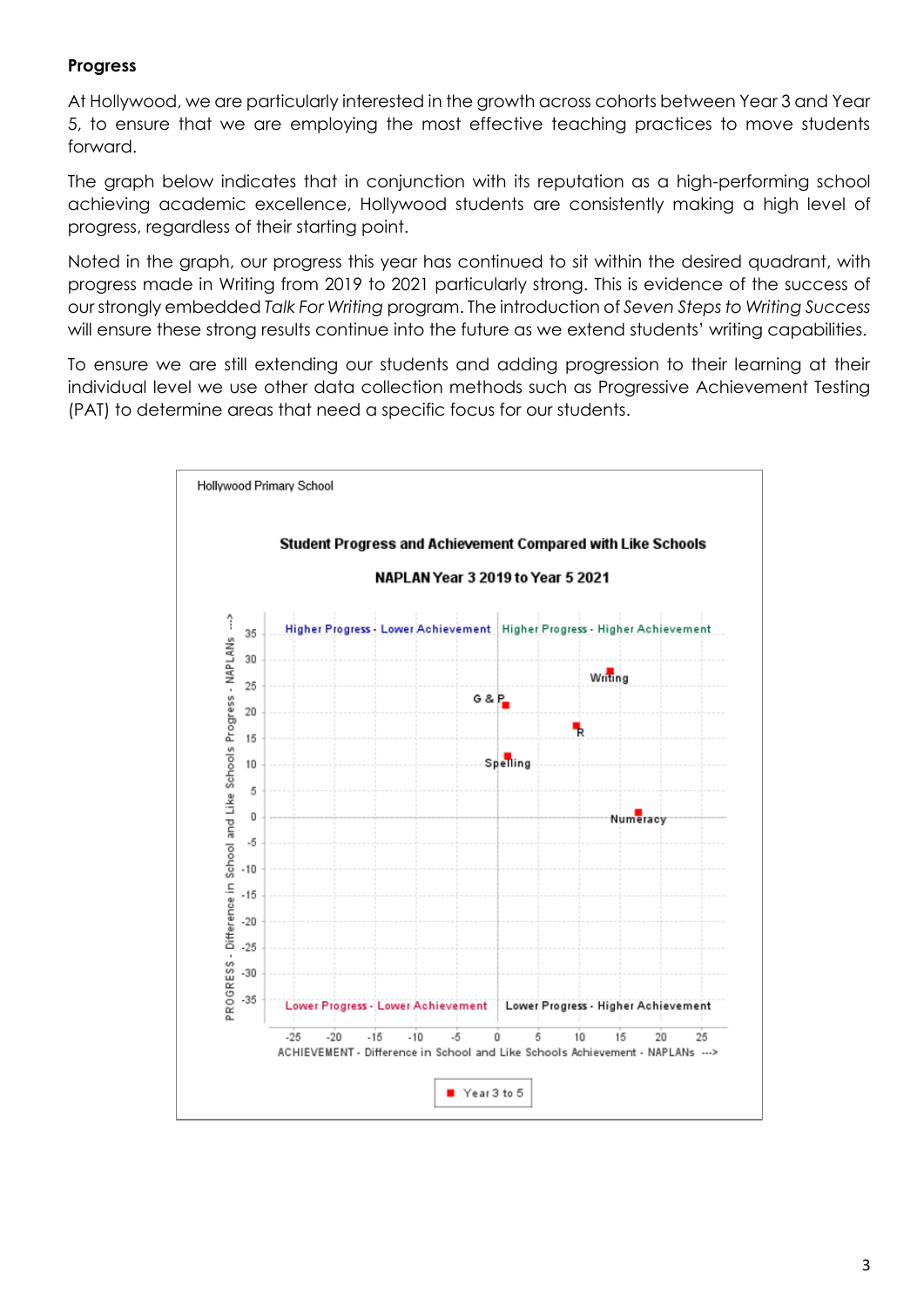## **Progress**

At Hollywood, we are particularly interested in the growth across cohorts between Year 3 and Year 5, to ensure that we are employing the most effective teaching practices to move students forward.

The graph below indicates that in conjunction with its reputation as a high-performing school achieving academic excellence, Hollywood students are consistently making a high level of progress, regardless of their starting point.

Noted in the graph, our progress this year has continued to sit within the desired quadrant, with progress made in Writing from 2019 to 2021 particularly strong. This is evidence of the success of our strongly embedded *Talk For Writing* program. The introduction of *Seven Steps to Writing Success* will ensure these strong results continue into the future as we extend students' writing capabilities.

To ensure we are still extending our students and adding progression to their learning at their individual level we use other data collection methods such as Progressive Achievement Testing (PAT) to determine areas that need a specific focus for our students.

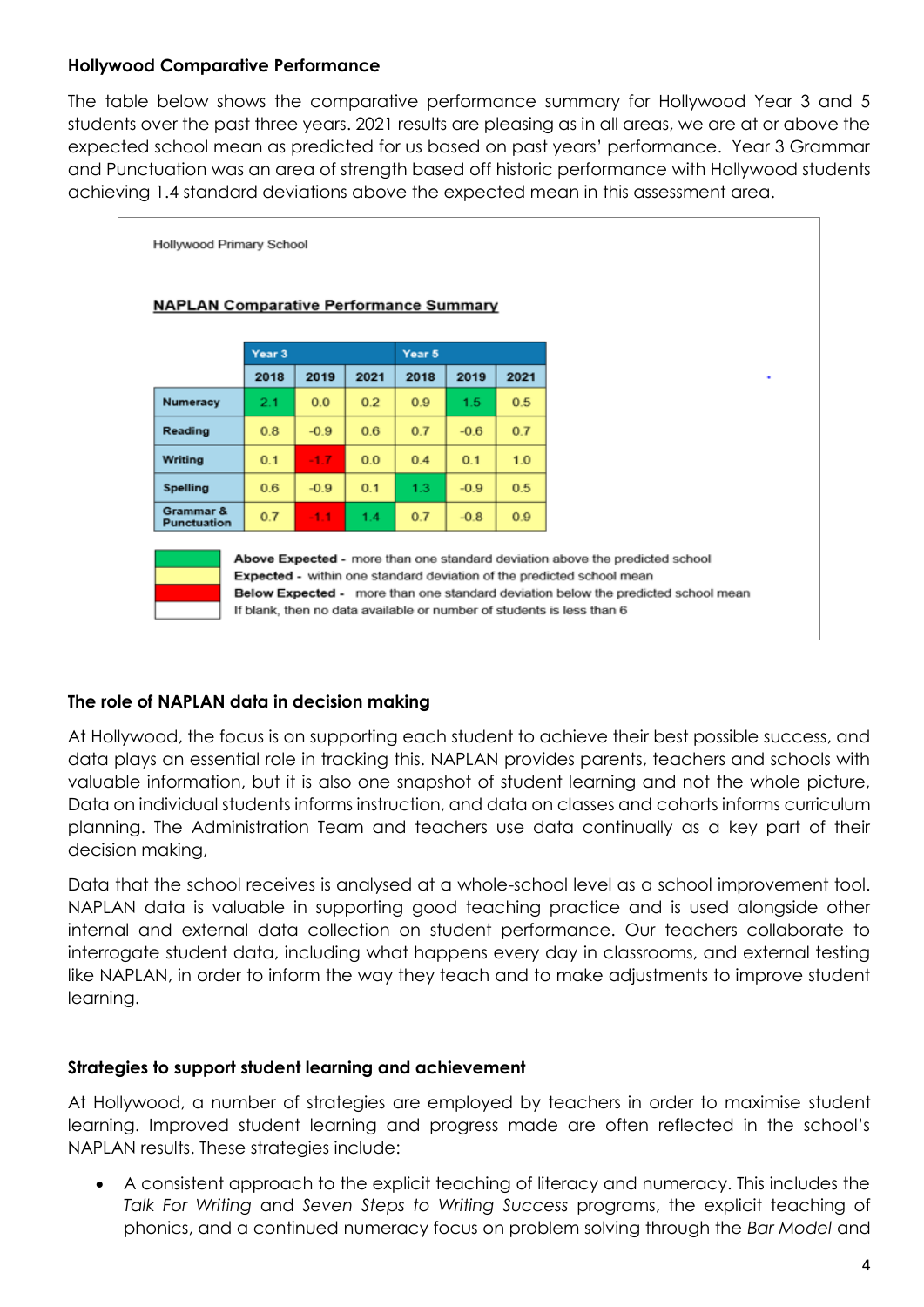#### **Hollywood Comparative Performance**

The table below shows the comparative performance summary for Hollywood Year 3 and 5 students over the past three years. 2021 results are pleasing as in all areas, we are at or above the expected school mean as predicted for us based on past years' performance. Year 3 Grammar and Punctuation was an area of strength based off historic performance with Hollywood students achieving 1.4 standard deviations above the expected mean in this assessment area.



# **The role of NAPLAN data in decision making**

At Hollywood, the focus is on supporting each student to achieve their best possible success, and data plays an essential role in tracking this. NAPLAN provides parents, teachers and schools with valuable information, but it is also one snapshot of student learning and not the whole picture, Data on individual students informs instruction, and data on classes and cohorts informs curriculum planning. The Administration Team and teachers use data continually as a key part of their decision making,

Data that the school receives is analysed at a whole-school level as a school improvement tool. NAPLAN data is valuable in supporting good teaching practice and is used alongside other internal and external data collection on student performance. Our teachers collaborate to interrogate student data, including what happens every day in classrooms, and external testing like NAPLAN, in order to inform the way they teach and to make adjustments to improve student learning.

# **Strategies to support student learning and achievement**

At Hollywood, a number of strategies are employed by teachers in order to maximise student learning. Improved student learning and progress made are often reflected in the school's NAPLAN results. These strategies include:

 A consistent approach to the explicit teaching of literacy and numeracy. This includes the *Talk For Writing* and *Seven Steps to Writing Success* programs, the explicit teaching of phonics, and a continued numeracy focus on problem solving through the *Bar Model* and